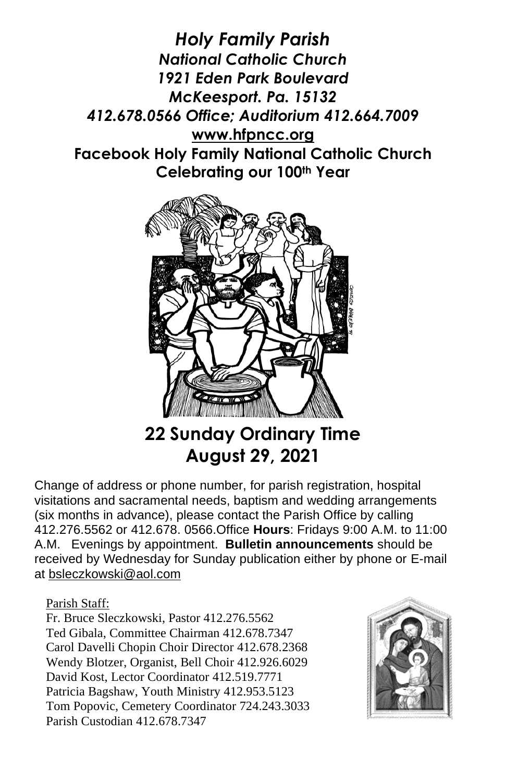*Holy Family Parish National Catholic Church 1921 Eden Park Boulevard McKeesport. Pa. 15132 412.678.0566 Office; Auditorium 412.664.7009* **[www.hfpncc.org](http://www.hfpncc.org/) Facebook Holy Family National Catholic Church Celebrating our 100th Year**



# **22 Sunday Ordinary Time August 29, 2021**

Change of address or phone number, for parish registration, hospital visitations and sacramental needs, baptism and wedding arrangements (six months in advance), please contact the Parish Office by calling 412.276.5562 or 412.678. 0566.Office **Hours**: Fridays 9:00 A.M. to 11:00 A.M. Evenings by appointment. **Bulletin announcements** should be received by Wednesday for Sunday publication either by phone or E-mail at [bsleczkowski@aol.com](mailto:bsleczkowski@aol.com)

Parish Staff:

Fr. Bruce Sleczkowski, Pastor 412.276.5562 Ted Gibala, Committee Chairman 412.678.7347 Carol Davelli Chopin Choir Director 412.678.2368 Wendy Blotzer, Organist, Bell Choir 412.926.6029 David Kost, Lector Coordinator 412.519.7771 Patricia Bagshaw, Youth Ministry 412.953.5123 Tom Popovic, Cemetery Coordinator 724.243.3033 Parish Custodian 412.678.7347

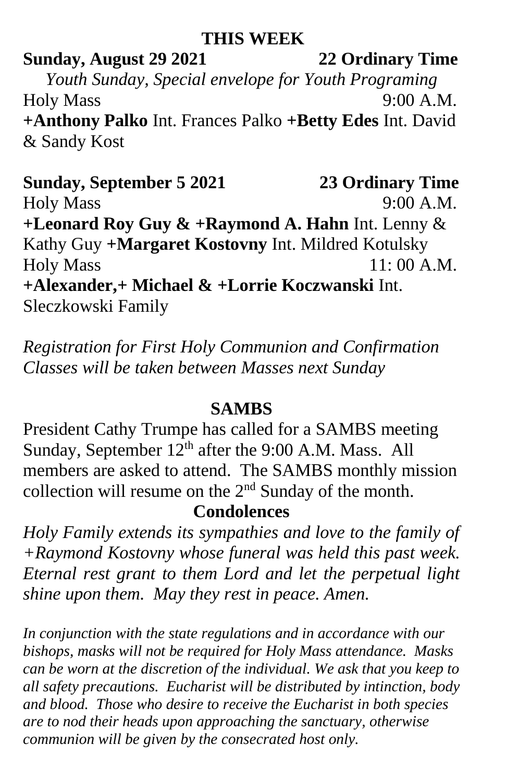### **THIS WEEK**

## **Sunday, August 29 2021 22 Ordinary Time** *Youth Sunday, Special envelope for Youth Programing* Holy Mass 9:00 A.M. **+Anthony Palko** Int. Frances Palko **+Betty Edes** Int. David & Sandy Kost

**Sunday, September 5 2021 23 Ordinary Time** Holy Mass 9:00 A.M. **+Leonard Roy Guy & +Raymond A. Hahn** Int. Lenny & Kathy Guy **+Margaret Kostovny** Int. Mildred Kotulsky Holy Mass 11: 00 A.M. **+Alexander,+ Michael & +Lorrie Koczwanski** Int. Sleczkowski Family

*Registration for First Holy Communion and Confirmation Classes will be taken between Masses next Sunday*

### **SAMBS**

President Cathy Trumpe has called for a SAMBS meeting Sunday, September  $12<sup>th</sup>$  after the 9:00 A.M. Mass. All members are asked to attend. The SAMBS monthly mission collection will resume on the 2nd Sunday of the month.

### **Condolences**

*Holy Family extends its sympathies and love to the family of +Raymond Kostovny whose funeral was held this past week. Eternal rest grant to them Lord and let the perpetual light shine upon them. May they rest in peace. Amen.*

*In conjunction with the state regulations and in accordance with our bishops, masks will not be required for Holy Mass attendance. Masks can be worn at the discretion of the individual. We ask that you keep to all safety precautions. Eucharist will be distributed by intinction, body and blood. Those who desire to receive the Eucharist in both species are to nod their heads upon approaching the sanctuary, otherwise communion will be given by the consecrated host only.*